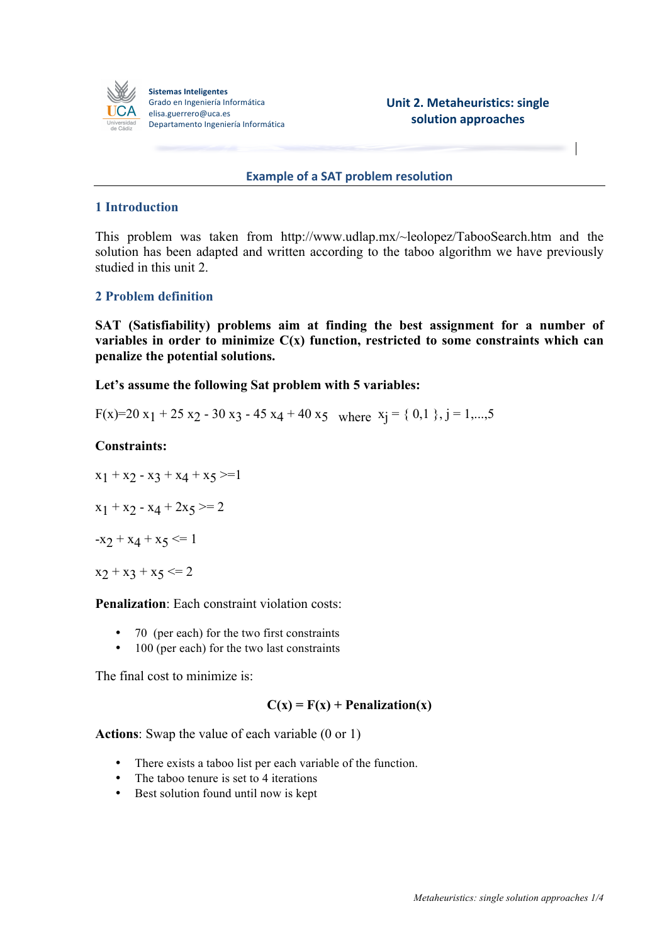

**Sistemas Inteligentes** Grado en Ingeniería Informática elisa.guerrero@uca.es Departamento Ingeniería Informática

**Unit 2. Metaheuristics: single solution approaches**

### **Example of a SAT problem resolution**

# **1 Introduction**

This problem was taken from http://www.udlap.mx/~leolopez/TabooSearch.htm and the solution has been adapted and written according to the taboo algorithm we have previously studied in this unit 2.

## **2 Problem definition**

**SAT (Satisfiability) problems aim at finding the best assignment for a number of variables in order to minimize C(x) function, restricted to some constraints which can penalize the potential solutions.**

**Let's assume the following Sat problem with 5 variables:**

F(x)=20 x<sub>1</sub> + 25 x<sub>2</sub> - 30 x<sub>3</sub> - 45 x<sub>4</sub> + 40 x<sub>5</sub> where  $x_i = \{ 0, 1 \}$ , j = 1,...,5

### **Constraints:**

 $x_1 + x_2 - x_3 + x_4 + x_5 \geq 1$  $x_1 + x_2 - x_4 + 2x_5 \geq 2$  $-x_2 + x_4 + x_5 \leq 1$  $x_2 + x_3 + x_5 \leq 2$ 

**Penalization**: Each constraint violation costs:

- 70 (per each) for the two first constraints
- 100 (per each) for the two last constraints

The final cost to minimize is:

## $C(x) = F(x) + \text{Penalization}(x)$

**Actions**: Swap the value of each variable (0 or 1)

- There exists a taboo list per each variable of the function.
- The taboo tenure is set to 4 iterations
- Best solution found until now is kept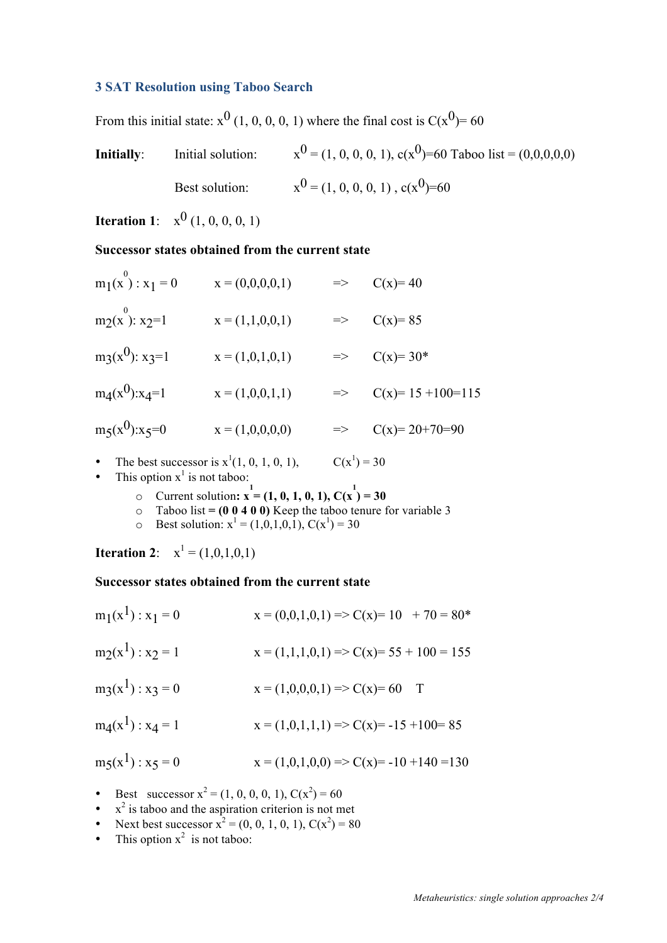## **3 SAT Resolution using Taboo Search**

From this initial state:  $x^0$  (1, 0, 0, 0, 1) where the final cost is  $C(x^0) = 60$ 

**Initially**: Initial solution:  $x^0 = (1, 0, 0, 0, 1), c(x^0) = 60$  Taboo list = (0,0,0,0,0) Best solution:  $x^0 = (1, 0, 0, 0, 1), c(x^0) = 60$ 

**Iteration 1**:  $x^0$  (1, 0, 0, 0, 1)

## **Successor states obtained from the current state**

| $m_1(x^0)$ : $x_1 = 0$        | $x = (0,0,0,0,1)$ | $\Rightarrow$ | $C(x)=40$              |
|-------------------------------|-------------------|---------------|------------------------|
| $m_2(x^0): x_2=1$             | $x = (1,1,0,0,1)$ |               | $\Rightarrow$ C(x)=85  |
| $mg(x^0)$ : x <sub>3</sub> =1 | $x = (1,0,1,0,1)$ |               | $\Rightarrow$ C(x)=30* |
| $m_4(x^0):x_4=1$              | $x = (1,0,0,1,1)$ | $\Rightarrow$ | $C(x)= 15 + 100=115$   |
| $m_5(x^0):x_5=0$              | $x = (1,0,0,0,0)$ | $\Rightarrow$ | $C(x)= 20+70=90$       |

- The best successor is  $x^1(1, 0, 1, 0, 1)$ ,  $C(x^1) = 30$
- This option  $x^1$  is not taboo:
	- $\circ$  Current solution: **x**<sup>1</sup> = (1, 0, 1, 0, 1), C(**x**<sup>1</sup>) = 30
	- o Taboo list **= (0 0 4 0 0)** Keep the taboo tenure for variable 3
	- $\circ$  Best solution:  $x^1 = (1,0,1,0,1)$ ,  $C(x^1) = 30$

**Iteration 2**:  $x^1 = (1,0,1,0,1)$ 

## **Successor states obtained from the current state**

| $m_1(x^1)$ : $x_1 = 0$ | $x = (0,0,1,0,1) \Rightarrow C(x)= 10 + 70 = 80*$    |
|------------------------|------------------------------------------------------|
| $m_2(x^1)$ : $x_2 = 1$ | $x = (1,1,1,0,1) \Rightarrow C(x)= 55 + 100 = 155$   |
| $mg(x^1) : x_3 = 0$    | $x = (1,0,0,0,1) \Rightarrow C(x)=60$ T              |
| $m_4(x^1) : x_4 = 1$   | $x = (1,0,1,1,1) \Rightarrow C(x) = -15 + 100 = 85$  |
| $m_5(x^1)$ : $x_5 = 0$ | $x = (1,0,1,0,0) \Rightarrow C(x) = -10 + 140 = 130$ |

- Best successor  $x^2 = (1, 0, 0, 0, 1), C(x^2) = 60$
- $\bullet$   $x^2$  is taboo and the aspiration criterion is not met
- Next best successor  $x^2 = (0, 0, 1, 0, 1), C(x^2) = 80$
- This option  $x^2$  is not taboo: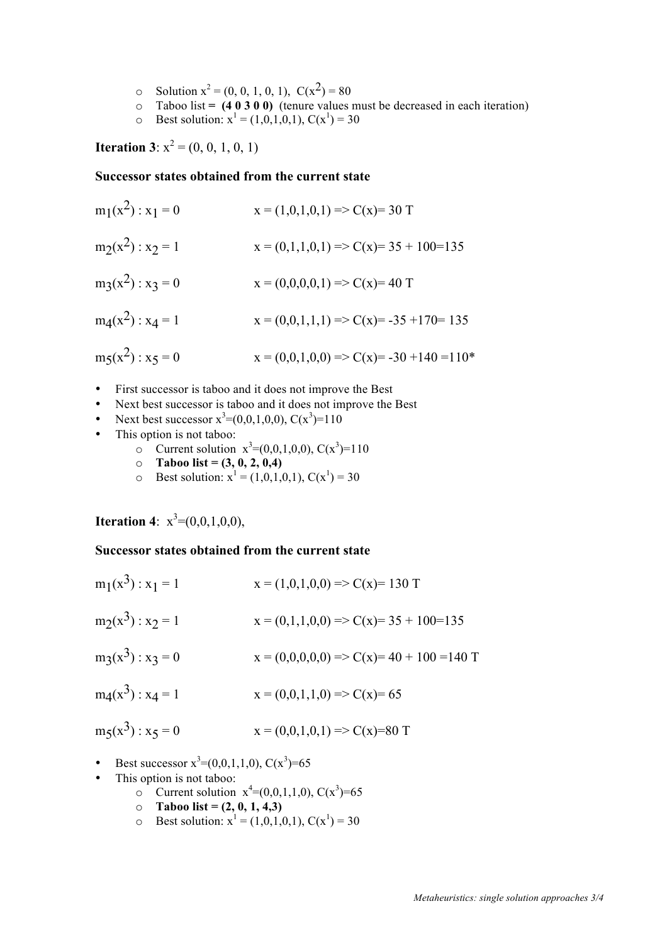- o Solution  $x^2 = (0, 0, 1, 0, 1), C(x^2) = 80$
- $\circ$  Taboo list = (4 0 3 0 0) (tenure values must be decreased in each iteration)
- $\circ$  Best solution:  $x^1 = (1,0,1,0,1), C(x^1) = 30$

**Iteration 3**:  $x^2 = (0, 0, 1, 0, 1)$ 

### **Successor states obtained from the current state**

$$
m_1(x^2) : x_1 = 0
$$
  
\n
$$
m_2(x^2) : x_2 = 1
$$
  
\n
$$
m_3(x^2) : x_3 = 0
$$
  
\n
$$
m_4(x^2) : x_4 = 1
$$
  
\n
$$
m_5(x^2) : x_5 = 0
$$
  
\n
$$
m_6(x^2) : x_6 = 0
$$
  
\n
$$
m_7(x^2) : x_7 = 0
$$
  
\n
$$
m_8(x^2) : x_8 = 0
$$
  
\n
$$
m_9(x^2) : x_9 = 0
$$
  
\n
$$
m_1(x^2) : x_9 = 0
$$
  
\n
$$
m_1(x^2) : x_1 = 1
$$
  
\n
$$
m_1(x^2) : x_2 = 0
$$
  
\n
$$
m_2(x^2) : x_4 = 1
$$
  
\n
$$
m_3(x^2) : x_5 = 0
$$
  
\n
$$
m_1(x^2) : x_6 = 0
$$
  
\n
$$
m_2(x^2) : x_7 = 0
$$
  
\n
$$
m_3(x^2) : x_7 = 0
$$
  
\n
$$
m_1(x^2) : x_8 = 0
$$
  
\n
$$
m_2(x^2) : x_9 = 0
$$
  
\n
$$
m_3(x^2) : x_1 = 0
$$
  
\n
$$
m_1(x^2) : x_1 = 0
$$
  
\n
$$
m_2(x^2) : x_2 = 0
$$
  
\n
$$
m_3(x^2) : x_3 = 0
$$
  
\n
$$
m_1(x^2) : x_4 = 1
$$
  
\n
$$
m_2(x^2) : x_4 = 1
$$
  
\n
$$
m_3(x^2) : x_5 = 0
$$
  
\n
$$
m_1(x^2) : x_6 = 0
$$
  
\n
$$
m_2(x^2) : x_7 = 0
$$
  
\n
$$
m_1(x^2) : x_7 = 0
$$
  
\n
$$
m_1(x^
$$

- First successor is taboo and it does not improve the Best
- Next best successor is taboo and it does not improve the Best
- Next best successor  $x^3 = (0,0,1,0,0)$ ,  $C(x^3) = 110$
- This option is not taboo:
	- $\circ$  Current solution  $x^3 = (0,0,1,0,0)$ , C( $x^3$ )=110
	- $\circ$  **Taboo list** = (3, 0, 2, 0,4)
	- o Best solution:  $x^1 = (1,0,1,0,1), C(x^1) = 30$

**Iteration 4**:  $x^3 = (0,0,1,0,0),$ 

## **Successor states obtained from the current state**

| $m_1(x^3)$ : $x_1 = 1$ | $x = (1,0,1,0,0) \Rightarrow C(x)= 130$ T            |
|------------------------|------------------------------------------------------|
| $m_2(x^3)$ : $x_2 = 1$ | $x = (0,1,1,0,0) \Rightarrow C(x)= 35 + 100 = 135$   |
| $mg(x^3) : x_3 = 0$    | $x = (0,0,0,0,0) \Rightarrow C(x)= 40 + 100 = 140$ T |
| $m_4(x^3)$ : $x_4 = 1$ | $x = (0,0,1,1,0) \Rightarrow C(x)= 65$               |
| $m_5(x^3)$ : $x_5 = 0$ | $x = (0,0,1,0,1) \Rightarrow C(x)=80$ T              |

- Best successor  $x^3 = (0,0,1,1,0)$ ,  $C(x^3) = 65$
- This option is not taboo:
	- $\circ$  Current solution  $x^4 = (0,0,1,1,0)$ , C( $x^3$ )=65
	- $\circ$  **Taboo list** = (2, 0, 1, 4,3)
	- $\circ$  Best solution:  $x^1 = (1,0,1,0,1), C(x^1) = 30$